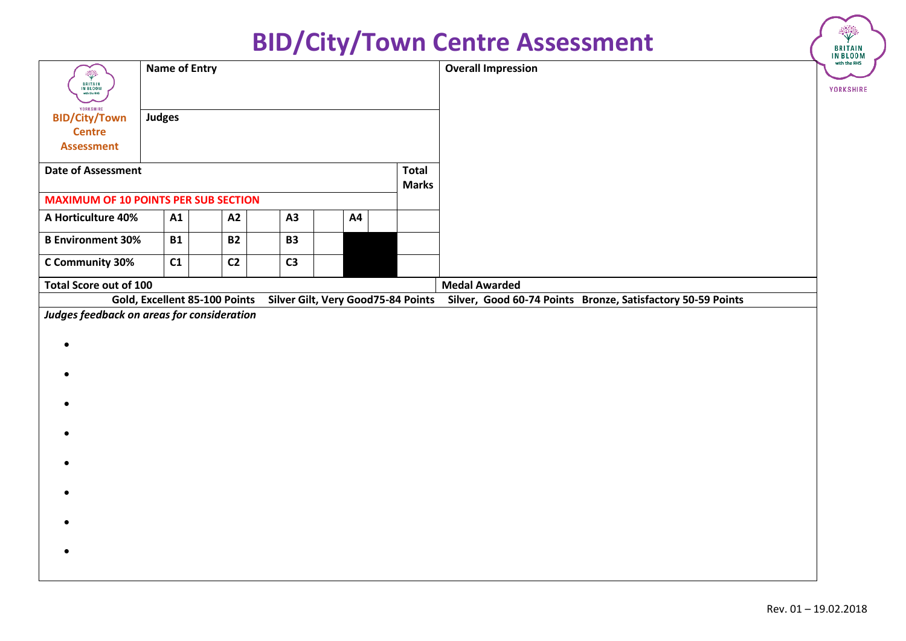| <b>Overall Impression</b><br><b>Name of Entry</b><br>$\ddot{\mathbb{P}}$<br>BRITAIN<br>IN BLOOM<br>with the RHS<br>YORKSHIRE<br><b>Judges</b><br><b>BID/City/Town</b><br><b>Centre</b><br><b>Assessment</b> | <b>BRITAIN</b><br>IN BLOOM<br>with the RHS<br><b>YORKSHIRE</b> |
|-------------------------------------------------------------------------------------------------------------------------------------------------------------------------------------------------------------|----------------------------------------------------------------|
|                                                                                                                                                                                                             |                                                                |
|                                                                                                                                                                                                             |                                                                |
|                                                                                                                                                                                                             |                                                                |
|                                                                                                                                                                                                             |                                                                |
| <b>Date of Assessment</b><br><b>Total</b><br><b>Marks</b>                                                                                                                                                   |                                                                |
| <b>MAXIMUM OF 10 POINTS PER SUB SECTION</b>                                                                                                                                                                 |                                                                |
| A Horticulture 40%<br>A3<br>A1<br>A2<br><b>A4</b>                                                                                                                                                           |                                                                |
| <b>B Environment 30%</b><br><b>B1</b><br><b>B2</b><br><b>B3</b>                                                                                                                                             |                                                                |
| C1<br>C <sub>3</sub><br>C Community 30%<br>C <sub>2</sub>                                                                                                                                                   |                                                                |
| <b>Total Score out of 100</b><br><b>Medal Awarded</b>                                                                                                                                                       |                                                                |
| Gold, Excellent 85-100 Points<br>Silver Gilt, Very Good75-84 Points Silver, Good 60-74 Points Bronze, Satisfactory 50-59 Points                                                                             |                                                                |
| Judges feedback on areas for consideration                                                                                                                                                                  |                                                                |
| $\bullet$                                                                                                                                                                                                   |                                                                |
|                                                                                                                                                                                                             |                                                                |
|                                                                                                                                                                                                             |                                                                |
|                                                                                                                                                                                                             |                                                                |
|                                                                                                                                                                                                             |                                                                |
|                                                                                                                                                                                                             |                                                                |
|                                                                                                                                                                                                             |                                                                |
|                                                                                                                                                                                                             |                                                                |
|                                                                                                                                                                                                             |                                                                |
|                                                                                                                                                                                                             |                                                                |
|                                                                                                                                                                                                             |                                                                |
|                                                                                                                                                                                                             |                                                                |
|                                                                                                                                                                                                             |                                                                |
|                                                                                                                                                                                                             |                                                                |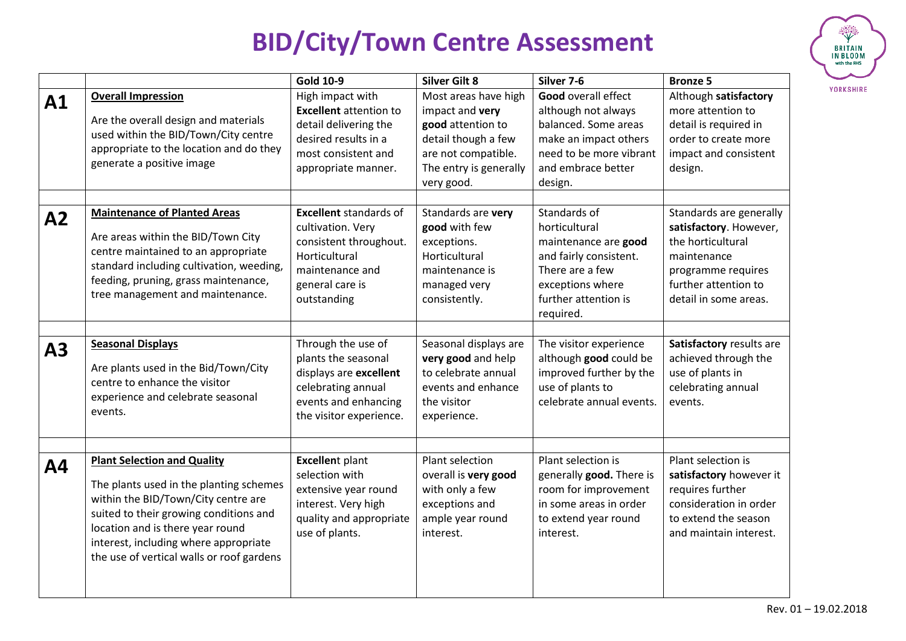

|           |                                                                                                                                                                                                                                                                                          | <b>Gold 10-9</b>                                                                                                                                   | <b>Silver Gilt 8</b>                                                                                                                               | Silver 7-6                                                                                                                                                     | <b>Bronze 5</b>                                                                                                                                              |
|-----------|------------------------------------------------------------------------------------------------------------------------------------------------------------------------------------------------------------------------------------------------------------------------------------------|----------------------------------------------------------------------------------------------------------------------------------------------------|----------------------------------------------------------------------------------------------------------------------------------------------------|----------------------------------------------------------------------------------------------------------------------------------------------------------------|--------------------------------------------------------------------------------------------------------------------------------------------------------------|
| A1        | <b>Overall Impression</b><br>Are the overall design and materials<br>used within the BID/Town/City centre<br>appropriate to the location and do they<br>generate a positive image                                                                                                        | High impact with<br><b>Excellent</b> attention to<br>detail delivering the<br>desired results in a<br>most consistent and<br>appropriate manner.   | Most areas have high<br>impact and very<br>good attention to<br>detail though a few<br>are not compatible.<br>The entry is generally<br>very good. | <b>Good overall effect</b><br>although not always<br>balanced. Some areas<br>make an impact others<br>need to be more vibrant<br>and embrace better<br>design. | Although satisfactory<br>more attention to<br>detail is required in<br>order to create more<br>impact and consistent<br>design.                              |
| A2        | <b>Maintenance of Planted Areas</b><br>Are areas within the BID/Town City<br>centre maintained to an appropriate<br>standard including cultivation, weeding,<br>feeding, pruning, grass maintenance,<br>tree management and maintenance.                                                 | <b>Excellent</b> standards of<br>cultivation. Very<br>consistent throughout.<br>Horticultural<br>maintenance and<br>general care is<br>outstanding | Standards are very<br>good with few<br>exceptions.<br>Horticultural<br>maintenance is<br>managed very<br>consistently.                             | Standards of<br>horticultural<br>maintenance are good<br>and fairly consistent.<br>There are a few<br>exceptions where<br>further attention is<br>required.    | Standards are generally<br>satisfactory. However,<br>the horticultural<br>maintenance<br>programme requires<br>further attention to<br>detail in some areas. |
| A3        | <b>Seasonal Displays</b><br>Are plants used in the Bid/Town/City<br>centre to enhance the visitor<br>experience and celebrate seasonal<br>events.                                                                                                                                        | Through the use of<br>plants the seasonal<br>displays are excellent<br>celebrating annual<br>events and enhancing<br>the visitor experience.       | Seasonal displays are<br>very good and help<br>to celebrate annual<br>events and enhance<br>the visitor<br>experience.                             | The visitor experience<br>although good could be<br>improved further by the<br>use of plants to<br>celebrate annual events.                                    | Satisfactory results are<br>achieved through the<br>use of plants in<br>celebrating annual<br>events.                                                        |
| <b>A4</b> | <b>Plant Selection and Quality</b><br>The plants used in the planting schemes<br>within the BID/Town/City centre are<br>suited to their growing conditions and<br>location and is there year round<br>interest, including where appropriate<br>the use of vertical walls or roof gardens | <b>Excellent plant</b><br>selection with<br>extensive year round<br>interest. Very high<br>quality and appropriate<br>use of plants.               | Plant selection<br>overall is very good<br>with only a few<br>exceptions and<br>ample year round<br>interest.                                      | Plant selection is<br>generally good. There is<br>room for improvement<br>in some areas in order<br>to extend year round<br>interest.                          | Plant selection is<br>satisfactory however it<br>requires further<br>consideration in order<br>to extend the season<br>and maintain interest.                |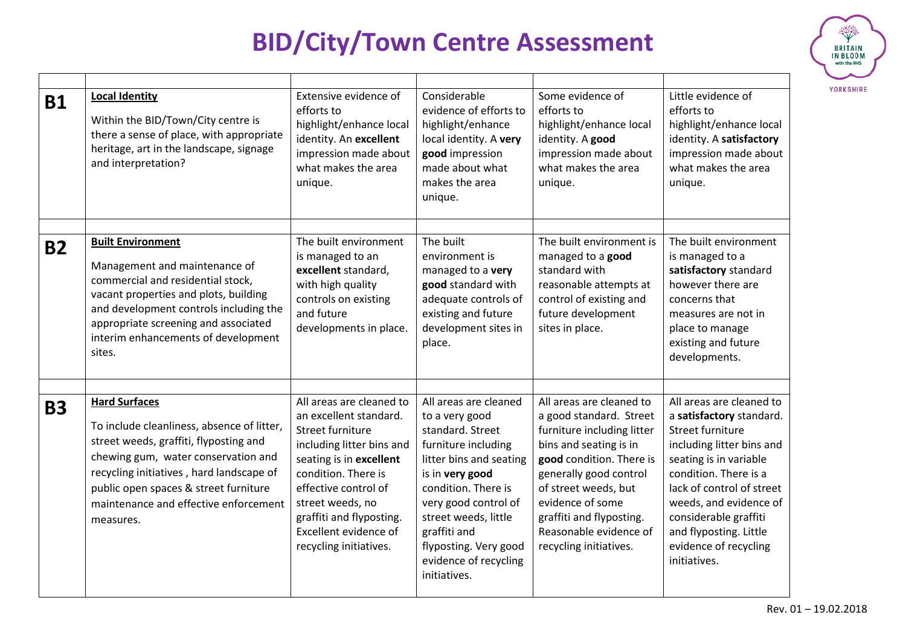

| <b>B1</b> | <b>Local Identity</b><br>Within the BID/Town/City centre is<br>there a sense of place, with appropriate<br>heritage, art in the landscape, signage<br>and interpretation?                                                                                                                      | Extensive evidence of<br>efforts to<br>highlight/enhance local<br>identity. An excellent<br>impression made about<br>what makes the area<br>unique.                                                                                                                              | Considerable<br>evidence of efforts to<br>highlight/enhance<br>local identity. A very<br>good impression<br>made about what<br>makes the area<br>unique.                                                                                                                                  | Some evidence of<br>efforts to<br>highlight/enhance local<br>identity. A good<br>impression made about<br>what makes the area<br>unique.                                                                                                                                                      | Little evidence of<br>efforts to<br>highlight/enhance local<br>identity. A satisfactory<br>impression made about<br>what makes the area<br>unique.                                                                                                                                                          |
|-----------|------------------------------------------------------------------------------------------------------------------------------------------------------------------------------------------------------------------------------------------------------------------------------------------------|----------------------------------------------------------------------------------------------------------------------------------------------------------------------------------------------------------------------------------------------------------------------------------|-------------------------------------------------------------------------------------------------------------------------------------------------------------------------------------------------------------------------------------------------------------------------------------------|-----------------------------------------------------------------------------------------------------------------------------------------------------------------------------------------------------------------------------------------------------------------------------------------------|-------------------------------------------------------------------------------------------------------------------------------------------------------------------------------------------------------------------------------------------------------------------------------------------------------------|
| <b>B2</b> | <b>Built Environment</b><br>Management and maintenance of<br>commercial and residential stock,<br>vacant properties and plots, building<br>and development controls including the<br>appropriate screening and associated<br>interim enhancements of development<br>sites.                     | The built environment<br>is managed to an<br>excellent standard,<br>with high quality<br>controls on existing<br>and future<br>developments in place.                                                                                                                            | The built<br>environment is<br>managed to a very<br>good standard with<br>adequate controls of<br>existing and future<br>development sites in<br>place.                                                                                                                                   | The built environment is<br>managed to a good<br>standard with<br>reasonable attempts at<br>control of existing and<br>future development<br>sites in place.                                                                                                                                  | The built environment<br>is managed to a<br>satisfactory standard<br>however there are<br>concerns that<br>measures are not in<br>place to manage<br>existing and future<br>developments.                                                                                                                   |
| <b>B3</b> | <b>Hard Surfaces</b><br>To include cleanliness, absence of litter,<br>street weeds, graffiti, flyposting and<br>chewing gum, water conservation and<br>recycling initiatives, hard landscape of<br>public open spaces & street furniture<br>maintenance and effective enforcement<br>measures. | All areas are cleaned to<br>an excellent standard.<br>Street furniture<br>including litter bins and<br>seating is in excellent<br>condition. There is<br>effective control of<br>street weeds, no<br>graffiti and flyposting.<br>Excellent evidence of<br>recycling initiatives. | All areas are cleaned<br>to a very good<br>standard. Street<br>furniture including<br>litter bins and seating<br>is in very good<br>condition. There is<br>very good control of<br>street weeds, little<br>graffiti and<br>flyposting. Very good<br>evidence of recycling<br>initiatives. | All areas are cleaned to<br>a good standard. Street<br>furniture including litter<br>bins and seating is in<br>good condition. There is<br>generally good control<br>of street weeds, but<br>evidence of some<br>graffiti and flyposting.<br>Reasonable evidence of<br>recycling initiatives. | All areas are cleaned to<br>a satisfactory standard.<br>Street furniture<br>including litter bins and<br>seating is in variable<br>condition. There is a<br>lack of control of street<br>weeds, and evidence of<br>considerable graffiti<br>and flyposting. Little<br>evidence of recycling<br>initiatives. |